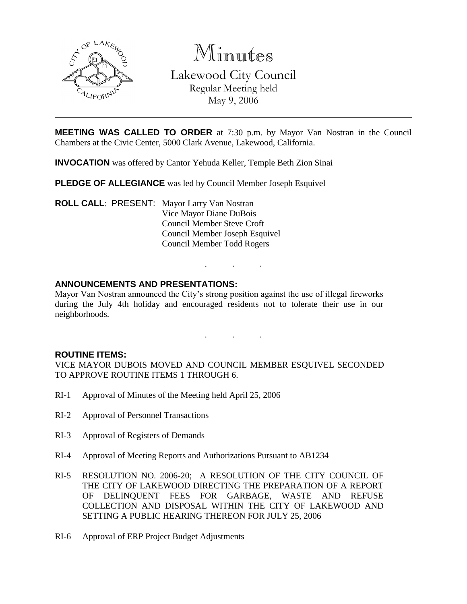

Minutes Lakewood City Council Regular Meeting held May 9, 2006

**MEETING WAS CALLED TO ORDER** at 7:30 p.m. by Mayor Van Nostran in the Council Chambers at the Civic Center, 5000 Clark Avenue, Lakewood, California.

**INVOCATION** was offered by Cantor Yehuda Keller, Temple Beth Zion Sinai

**PLEDGE OF ALLEGIANCE** was led by Council Member Joseph Esquivel

**ROLL CALL**: PRESENT: Mayor Larry Van Nostran Vice Mayor Diane DuBois Council Member Steve Croft Council Member Joseph Esquivel Council Member Todd Rogers

#### **ANNOUNCEMENTS AND PRESENTATIONS:**

Mayor Van Nostran announced the City's strong position against the use of illegal fireworks during the July 4th holiday and encouraged residents not to tolerate their use in our neighborhoods.

. . .

. . .

#### **ROUTINE ITEMS:**

VICE MAYOR DUBOIS MOVED AND COUNCIL MEMBER ESQUIVEL SECONDED TO APPROVE ROUTINE ITEMS 1 THROUGH 6.

- RI-1 Approval of Minutes of the Meeting held April 25, 2006
- RI-2 Approval of Personnel Transactions
- RI-3 Approval of Registers of Demands
- RI-4 Approval of Meeting Reports and Authorizations Pursuant to AB1234
- RI-5 RESOLUTION NO. 2006-20; A RESOLUTION OF THE CITY COUNCIL OF THE CITY OF LAKEWOOD DIRECTING THE PREPARATION OF A REPORT OF DELINQUENT FEES FOR GARBAGE, WASTE AND REFUSE COLLECTION AND DISPOSAL WITHIN THE CITY OF LAKEWOOD AND SETTING A PUBLIC HEARING THEREON FOR JULY 25, 2006
- RI-6 Approval of ERP Project Budget Adjustments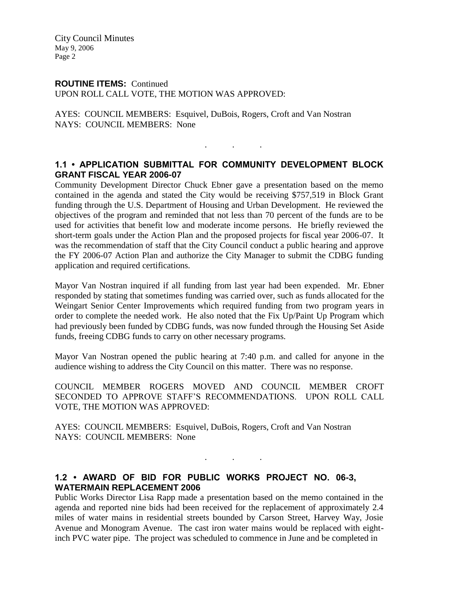City Council Minutes May 9, 2006 Page 2

# **ROUTINE ITEMS:** Continued

UPON ROLL CALL VOTE, THE MOTION WAS APPROVED:

AYES: COUNCIL MEMBERS: Esquivel, DuBois, Rogers, Croft and Van Nostran NAYS: COUNCIL MEMBERS: None

## **1.1 • APPLICATION SUBMITTAL FOR COMMUNITY DEVELOPMENT BLOCK GRANT FISCAL YEAR 2006-07**

. . .

Community Development Director Chuck Ebner gave a presentation based on the memo contained in the agenda and stated the City would be receiving \$757,519 in Block Grant funding through the U.S. Department of Housing and Urban Development. He reviewed the objectives of the program and reminded that not less than 70 percent of the funds are to be used for activities that benefit low and moderate income persons. He briefly reviewed the short-term goals under the Action Plan and the proposed projects for fiscal year 2006-07. It was the recommendation of staff that the City Council conduct a public hearing and approve the FY 2006-07 Action Plan and authorize the City Manager to submit the CDBG funding application and required certifications.

Mayor Van Nostran inquired if all funding from last year had been expended. Mr. Ebner responded by stating that sometimes funding was carried over, such as funds allocated for the Weingart Senior Center Improvements which required funding from two program years in order to complete the needed work. He also noted that the Fix Up/Paint Up Program which had previously been funded by CDBG funds, was now funded through the Housing Set Aside funds, freeing CDBG funds to carry on other necessary programs.

Mayor Van Nostran opened the public hearing at 7:40 p.m. and called for anyone in the audience wishing to address the City Council on this matter. There was no response.

COUNCIL MEMBER ROGERS MOVED AND COUNCIL MEMBER CROFT SECONDED TO APPROVE STAFF'S RECOMMENDATIONS. UPON ROLL CALL VOTE, THE MOTION WAS APPROVED:

. . .

AYES: COUNCIL MEMBERS: Esquivel, DuBois, Rogers, Croft and Van Nostran NAYS: COUNCIL MEMBERS: None

## **1.2 • AWARD OF BID FOR PUBLIC WORKS PROJECT NO. 06-3, WATERMAIN REPLACEMENT 2006**

Public Works Director Lisa Rapp made a presentation based on the memo contained in the agenda and reported nine bids had been received for the replacement of approximately 2.4 miles of water mains in residential streets bounded by Carson Street, Harvey Way, Josie Avenue and Monogram Avenue. The cast iron water mains would be replaced with eightinch PVC water pipe. The project was scheduled to commence in June and be completed in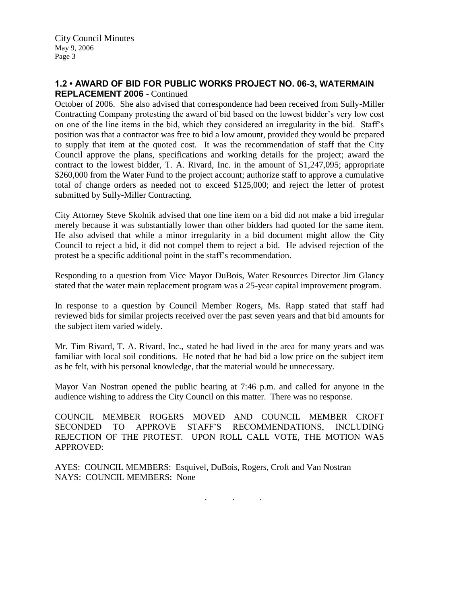City Council Minutes May 9, 2006 Page 3

## **1.2 • AWARD OF BID FOR PUBLIC WORKS PROJECT NO. 06-3, WATERMAIN REPLACEMENT 2006** - Continued

October of 2006. She also advised that correspondence had been received from Sully-Miller Contracting Company protesting the award of bid based on the lowest bidder's very low cost on one of the line items in the bid, which they considered an irregularity in the bid. Staff's position was that a contractor was free to bid a low amount, provided they would be prepared to supply that item at the quoted cost. It was the recommendation of staff that the City Council approve the plans, specifications and working details for the project; award the contract to the lowest bidder, T. A. Rivard, Inc. in the amount of \$1,247,095; appropriate \$260,000 from the Water Fund to the project account; authorize staff to approve a cumulative total of change orders as needed not to exceed \$125,000; and reject the letter of protest submitted by Sully-Miller Contracting.

City Attorney Steve Skolnik advised that one line item on a bid did not make a bid irregular merely because it was substantially lower than other bidders had quoted for the same item. He also advised that while a minor irregularity in a bid document might allow the City Council to reject a bid, it did not compel them to reject a bid. He advised rejection of the protest be a specific additional point in the staff's recommendation.

Responding to a question from Vice Mayor DuBois, Water Resources Director Jim Glancy stated that the water main replacement program was a 25-year capital improvement program.

In response to a question by Council Member Rogers, Ms. Rapp stated that staff had reviewed bids for similar projects received over the past seven years and that bid amounts for the subject item varied widely.

Mr. Tim Rivard, T. A. Rivard, Inc., stated he had lived in the area for many years and was familiar with local soil conditions. He noted that he had bid a low price on the subject item as he felt, with his personal knowledge, that the material would be unnecessary.

Mayor Van Nostran opened the public hearing at 7:46 p.m. and called for anyone in the audience wishing to address the City Council on this matter. There was no response.

COUNCIL MEMBER ROGERS MOVED AND COUNCIL MEMBER CROFT SECONDED TO APPROVE STAFF'S RECOMMENDATIONS, INCLUDING REJECTION OF THE PROTEST. UPON ROLL CALL VOTE, THE MOTION WAS APPROVED:

AYES: COUNCIL MEMBERS: Esquivel, DuBois, Rogers, Croft and Van Nostran NAYS: COUNCIL MEMBERS: None

. . .